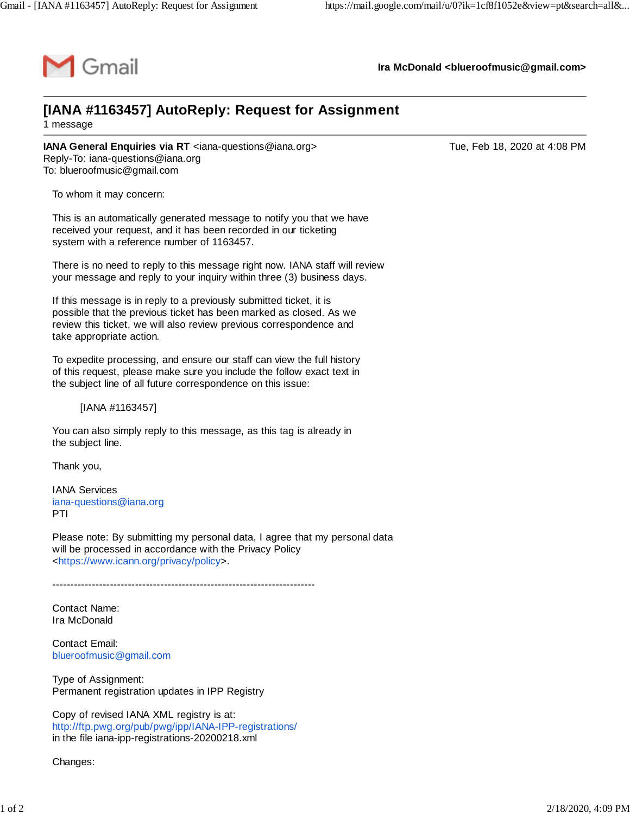

**Ira McDonald [<blueroofmusic@gmail.com>](mailto:blueroofmusic@gmail.com)**

## **[IANA #1163457] AutoReply: Request for Assignment** 1 message

**IANA General Enquiries via RT** <[iana-questions@iana.org](mailto:iana-questions@iana.org)> Tue, Tue, Feb 18, 2020 at 4:08 PM Reply-To: [iana-questions@iana.org](mailto:iana-questions@iana.org) To: [blueroofmusic@gmail.com](mailto:blueroofmusic@gmail.com)

To whom it may concern:

This is an automatically generated message to notify you that we have received your request, and it has been recorded in our ticketing system with a reference number of 1163457.

There is no need to reply to this message right now. IANA staff will review your message and reply to your inquiry within three (3) business days.

If this message is in reply to a previously submitted ticket, it is possible that the previous ticket has been marked as closed. As we review this ticket, we will also review previous correspondence and take appropriate action.

To expedite processing, and ensure our staff can view the full history of this request, please make sure you include the follow exact text in the subject line of all future correspondence on this issue:

[IANA #1163457]

You can also simply reply to this message, as this tag is already in the subject line.

Thank you,

IANA Services [iana-questions@iana.org](mailto:iana-questions@iana.org) PTI

Please note: By submitting my personal data, I agree that my personal data will be processed in accordance with the Privacy Policy <[https://www.icann.org/privacy/policy>](https://www.icann.org/privacy/policy).

-------------------------------------------------------------------------

Contact Name: Ira McDonald

Contact Email: [blueroofmusic@gmail.com](mailto:blueroofmusic@gmail.com)

Type of Assignment: Permanent registration updates in IPP Registry

Copy of revised IANA XML registry is at: <http://ftp.pwg.org/pub/pwg/ipp/IANA-IPP-registrations/> in the file iana-ipp-registrations-20200218.xml

Changes: